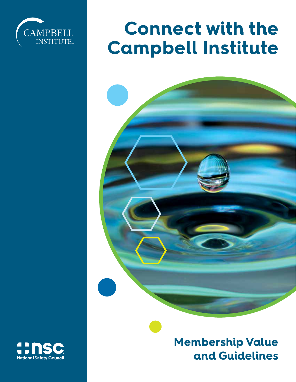

# **Connect with the Campbell Institute**



## **Membership Value and Guidelines**

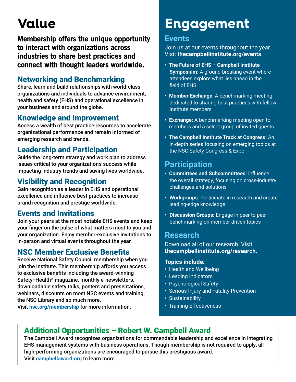## **Value**

Membership offers the unique opportunity to interact with organizations across industries to share best practices and connect with thought leaders worldwide.

### Networking and Benchmarking

Share, learn and build relationships with world-class organizations and individuals to advance environment, health and safety (EHS) and operational excellence in your business and around the globe.

### Knowledge and Improvement

Access a wealth of best practice resources to accelerate organizational performance and remain informed of emerging research and trends.

### Leadership and Participation

Guide the long-term strategy and work plan to address issues critical to your organization's success while impacting industry trends and saving lives worldwide.

### Visibility and Recognition

Gain recognition as a leader in EHS and operational excellence and influence best practices to increase brand recognition and prestige worldwide.

#### Events and Invitations

Join your peers at the most notable EHS events and keep your finger on the pulse of what matters most to you and your organization. Enjoy member-exclusive invitations to in-person and virtual events throughout the year.

## NSC Member Exclusive Benefits

Receive National Safety Council membership when you join the Institute. This membership affords you access to exclusive benefits including the award-winning Safety+Health® magazine, monthly e-newsletters, downloadable safety talks, posters and presentations, webinars, discounts on most NSC events and training, the NSC Library and so much more.

Visit **nsc.org/membership** for more information.

## **Engagement**

#### **Events**

Join us at our events throughout the year. Visit **thecampbellinstitute.org/events**.

- **The Future of EHS – Campbell Institute Symposium:** A ground-breaking event where attendees explore what lies ahead in the field of EHS
- **Member Exchange**: A benchmarking meeting dedicated to sharing best practices with fellow Institute members
- **Exchange:** A benchmarking meeting open to members and a select group of invited guests
- **The Campbell Institute Track at Congress:** An in-depth series focusing on emerging topics at the NSC Safety Congress & Expo

## **Participation**

- **Committees and Subcommittees:** Influence the overall strategy, focusing on cross-industry challenges and solutions
- **• Workgroups:** Participate in research and create leading-edge knowledge
- **• Discussion Groups:** Engage in peer to peer benchmarking on member-driven topics

## **Research**

Download all of our research. Visit **thecampbellinstitute.org/research.**

#### **Topics include:**

- Health and Wellbeing
- Leading Indicators
- Psychological Safety
- Serious Injury and Fatality Prevention
- Sustainability
- Training Effectiveness

## Additional Opportunities – Robert W. Campbell Award

The Campbell Award recognizes organizations for commendable leadership and excellence in integrating EHS management systems with business operations. Though membership is not required to apply, all high-performing organizations are encouraged to pursue this prestigious award. Visit **campbellaward.org** to learn more.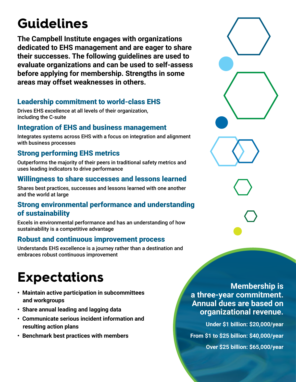## **Guidelines**

**The Campbell Institute engages with organizations dedicated to EHS management and are eager to share their successes. The following guidelines are used to evaluate organizations and can be used to self-assess before applying for membership. Strengths in some areas may offset weaknesses in others.**

### Leadership commitment to world-class EHS

Drives EHS excellence at all levels of their organization, including the C-suite

#### Integration of EHS and business management

Integrates systems across EHS with a focus on integration and alignment with business processes

### Strong performing EHS metrics

Outperforms the majority of their peers in traditional safety metrics and uses leading indicators to drive performance

#### Willingness to share successes and lessons learned

Shares best practices, successes and lessons learned with one another and the world at large

#### Strong environmental performance and understanding of sustainability

Excels in environmental performance and has an understanding of how sustainability is a competitive advantage

#### Robust and continuous improvement process

Understands EHS excellence is a journey rather than a destination and embraces robust continuous improvement

## **Expectations**

- **Maintain active participation in subcommittees and workgroups**
- **Share annual leading and lagging data**
- **Communicate serious incident information and resulting action plans**
- **Benchmark best practices with members**

**Membership is a three-year commitment. Annual dues are based on organizational revenue.**

**Under \$1 billion: \$20,000/year** 

**From \$1 to \$25 billion: \$40,000/year**

**Over \$25 billion: \$65,000/year**